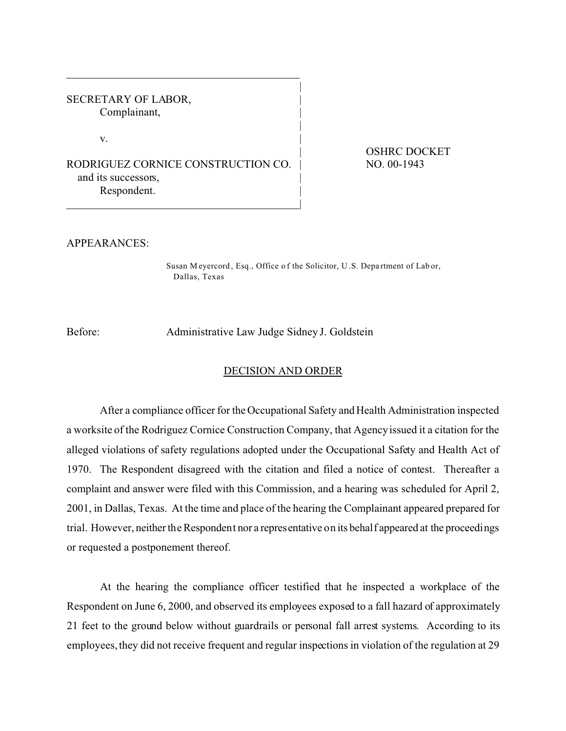SECRETARY OF LABOR, Complainant,

 $\mathbf{v}$ .

RODRIGUEZ CORNICE CONSTRUCTION CO. | NO. 00-1943 and its successors, Respondent.

| OSHRC DOCKET

APPEARANCES:

Susan M eyercord , Esq., Office o f the Solicitor, U .S. Depa rtment of Lab or, Dallas, Texas

|

|

|

Before: Administrative Law Judge Sidney J. Goldstein

## DECISION AND ORDER

After a compliance officer for the Occupational Safety and Health Administration inspected a worksite of the Rodriguez Cornice Construction Company, that Agency issued it a citation for the alleged violations of safety regulations adopted under the Occupational Safety and Health Act of 1970. The Respondent disagreed with the citation and filed a notice of contest. Thereafter a complaint and answer were filed with this Commission, and a hearing was scheduled for April 2, 2001, in Dallas, Texas. At the time and place of the hearing the Complainant appeared prepared for trial. However, neither the Respondent nor a representative on its behalf appeared at the proceedings or requested a postponement thereof.

At the hearing the compliance officer testified that he inspected a workplace of the Respondent on June 6, 2000, and observed its employees exposed to a fall hazard of approximately 21 feet to the ground below without guardrails or personal fall arrest systems. According to its employees, they did not receive frequent and regular inspections in violation of the regulation at 29